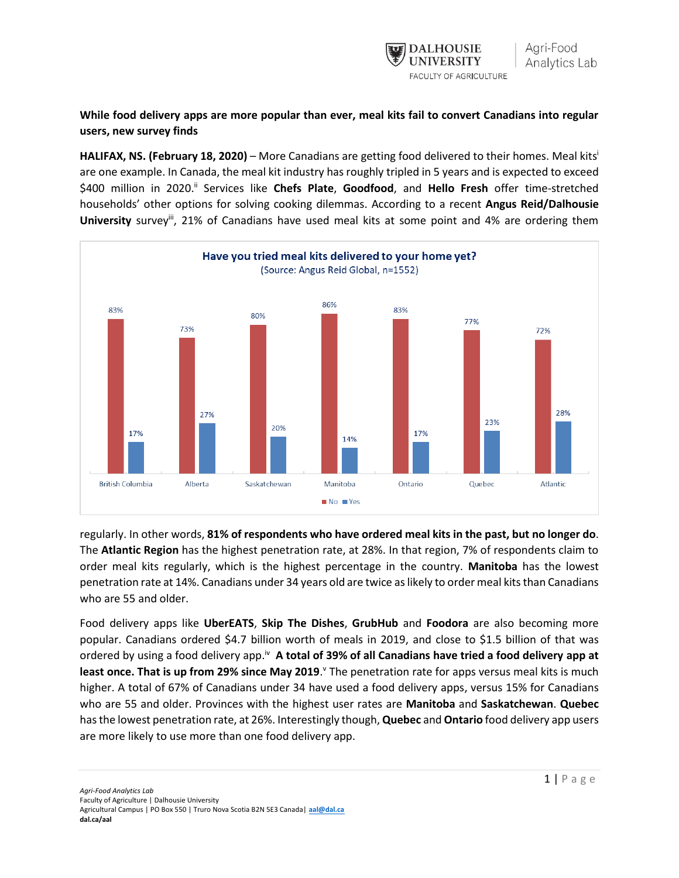

**While food delivery apps are more popular than ever, meal kits fail to convert Canadians into regular users, new survey finds**

**HALIFAX, NS. (February 18, 2020)** – More Canadians are getting food delivered to their homes. Meal kits i are one example. In Canada, the meal kit industry has roughly tripled in 5 years and is expected to exceed \$400 million in 2020.<sup>ii</sup> Services like Chefs Plate, Goodfood, and Hello Fresh offer time-stretched households' other options for solving cooking dilemmas. According to a recent **Angus Reid/Dalhousie**  University survey<sup>ii</sup>, 21% of Canadians have used meal kits at some point and 4% are ordering them



regularly. In other words, **81% of respondents who have ordered meal kits in the past, but no longer do**. The **Atlantic Region** has the highest penetration rate, at 28%. In that region, 7% of respondents claim to order meal kits regularly, which is the highest percentage in the country. **Manitoba** has the lowest penetration rate at 14%. Canadians under 34 years old are twice as likely to order meal kits than Canadians who are 55 and older.

Food delivery apps like **UberEATS**, **Skip The Dishes**, **GrubHub** and **Foodora** are also becoming more popular. Canadians ordered \$4.7 billion worth of meals in 2019, and close to \$1.5 billion of that was ordered by using a food delivery app.<sup>iv</sup> A total of 39% of all Canadians have tried a food delivery app at least once. That is up from 29% since May 2019. If the penetration rate for apps versus meal kits is much higher. A total of 67% of Canadians under 34 have used a food delivery apps, versus 15% for Canadians who are 55 and older. Provinces with the highest user rates are **Manitoba** and **Saskatchewan**. **Quebec** has the lowest penetration rate, at 26%. Interestingly though, **Quebec** and **Ontario** food delivery app users are more likely to use more than one food delivery app.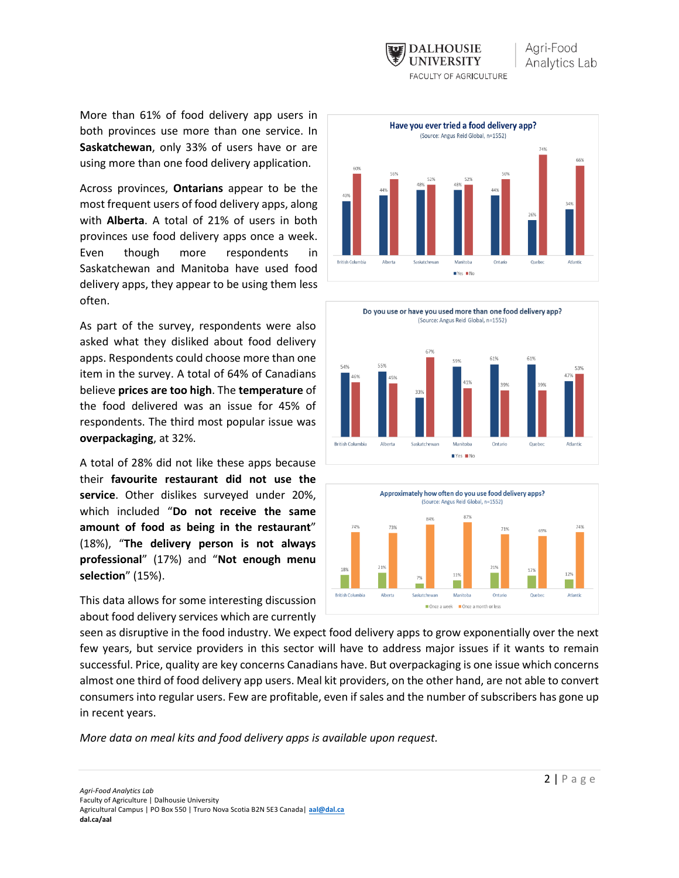

More than 61% of food delivery app users in both provinces use more than one service. In **Saskatchewan**, only 33% of users have or are using more than one food delivery application.

Across provinces, **Ontarians** appear to be the most frequent users of food delivery apps, along with **Alberta**. A total of 21% of users in both provinces use food delivery apps once a week. Even though more respondents in Saskatchewan and Manitoba have used food delivery apps, they appear to be using them less often.

As part of the survey, respondents were also asked what they disliked about food delivery apps. Respondents could choose more than one item in the survey. A total of 64% of Canadians believe **prices are too high**. The **temperature** of the food delivered was an issue for 45% of respondents. The third most popular issue was **overpackaging**, at 32%.

A total of 28% did not like these apps because their **favourite restaurant did not use the service**. Other dislikes surveyed under 20%, which included "**Do not receive the same amount of food as being in the restaurant**" (18%), "**The delivery person is not always professional**" (17%) and "**Not enough menu selection**" (15%).

This data allows for some interesting discussion about food delivery services which are currently







seen as disruptive in the food industry. We expect food delivery apps to grow exponentially over the next few years, but service providers in this sector will have to address major issues if it wants to remain successful. Price, quality are key concerns Canadians have. But overpackaging is one issue which concerns almost one third of food delivery app users. Meal kit providers, on the other hand, are not able to convert consumers into regular users. Few are profitable, even if sales and the number of subscribers has gone up in recent years.

*More data on meal kits and food delivery apps is available upon request.*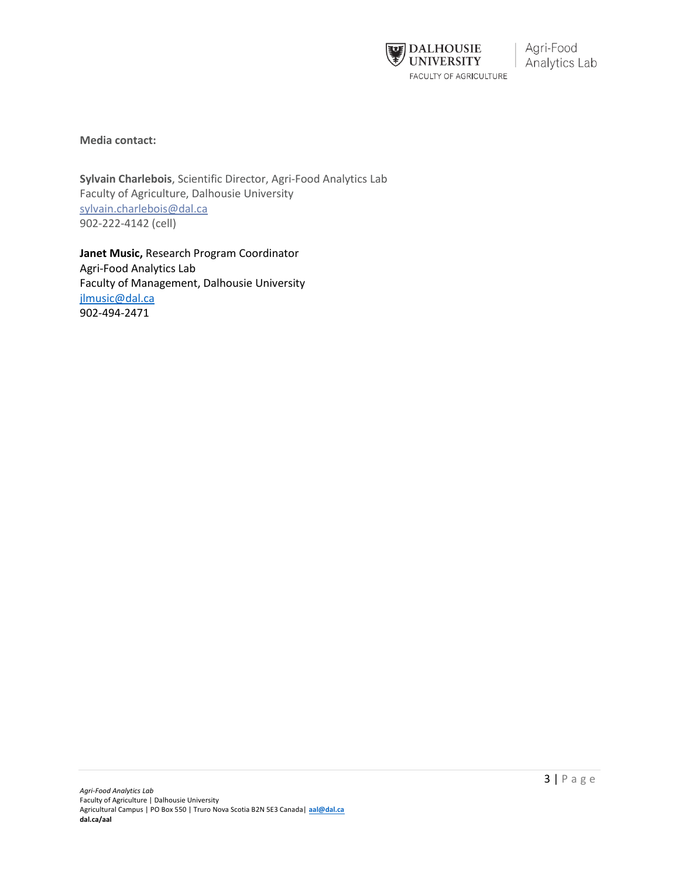

**Media contact:**

**Sylvain Charlebois**, Scientific Director, Agri-Food Analytics Lab Faculty of Agriculture, Dalhousie University [sylvain.charlebois@dal.ca](mailto:sylvain.charlebois@dal.ca) 902-222-4142 (cell)

**Janet Music,** Research Program Coordinator Agri-Food Analytics Lab Faculty of Management, Dalhousie University [jlmusic@dal.ca](mailto:jlmusic@dal.ca) 902-494-2471